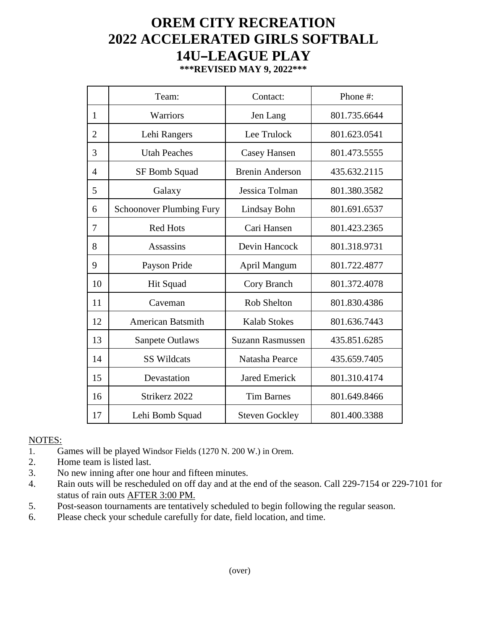## **OREM CITY RECREATION 2022 ACCELERATED GIRLS SOFTBALL 14U-LEAGUE PLAY**

| ***REVISED MAY 9, 2022*** |  |  |  |
|---------------------------|--|--|--|
|---------------------------|--|--|--|

|                | Team:                           | Contact:                | Phone#:      |
|----------------|---------------------------------|-------------------------|--------------|
| $\mathbf{1}$   | Warriors                        | Jen Lang                | 801.735.6644 |
| $\overline{2}$ | Lehi Rangers                    | Lee Trulock             | 801.623.0541 |
| 3              | <b>Utah Peaches</b>             | <b>Casey Hansen</b>     | 801.473.5555 |
| $\overline{4}$ | SF Bomb Squad                   | <b>Brenin Anderson</b>  | 435.632.2115 |
| 5              | Galaxy                          | Jessica Tolman          | 801.380.3582 |
| 6              | <b>Schoonover Plumbing Fury</b> | Lindsay Bohn            | 801.691.6537 |
| 7              | <b>Red Hots</b>                 | Cari Hansen             | 801.423.2365 |
| 8              | <b>Assassins</b>                | Devin Hancock           | 801.318.9731 |
| 9              | Payson Pride                    | April Mangum            | 801.722.4877 |
| 10             | Hit Squad                       | Cory Branch             | 801.372.4078 |
| 11             | Caveman                         | <b>Rob Shelton</b>      | 801.830.4386 |
| 12             | <b>American Batsmith</b>        | <b>Kalab Stokes</b>     | 801.636.7443 |
| 13             | <b>Sanpete Outlaws</b>          | <b>Suzann Rasmussen</b> | 435.851.6285 |
| 14             | <b>SS Wildcats</b>              | Natasha Pearce          | 435.659.7405 |
| 15             | Devastation                     | <b>Jared Emerick</b>    | 801.310.4174 |
| 16             | Strikerz 2022                   | <b>Tim Barnes</b>       | 801.649.8466 |
| 17             | Lehi Bomb Squad                 | <b>Steven Gockley</b>   | 801.400.3388 |

## NOTES:

- 1. Games will be played Windsor Fields (1270 N. 200 W.) in Orem.
- 2. Home team is listed last.
- 3. No new inning after one hour and fifteen minutes.
- 4. Rain outs will be rescheduled on off day and at the end of the season. Call 229-7154 or 229-7101 for status of rain outs AFTER 3:00 PM.
- 5. Post-season tournaments are tentatively scheduled to begin following the regular season.
- 6. Please check your schedule carefully for date, field location, and time.